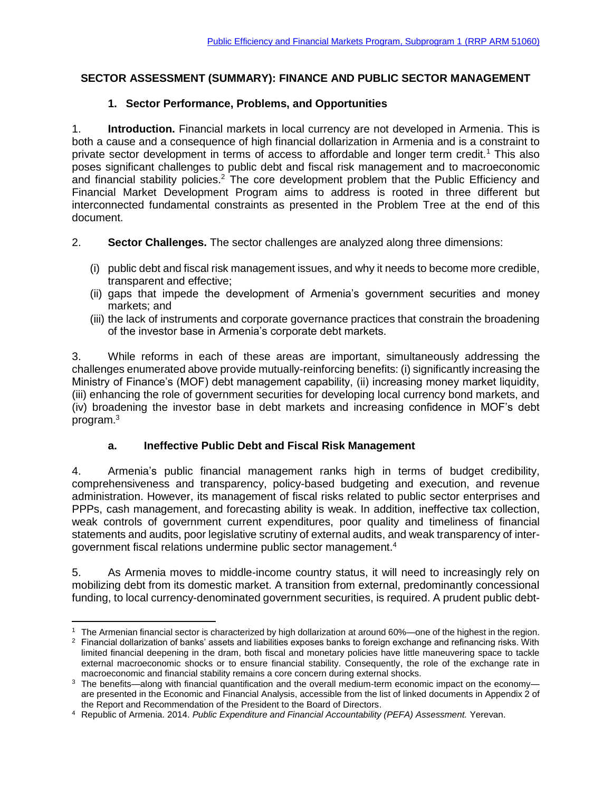# **SECTOR ASSESSMENT (SUMMARY): FINANCE AND PUBLIC SECTOR MANAGEMENT**

# **1. Sector Performance, Problems, and Opportunities**

1. **Introduction.** Financial markets in local currency are not developed in Armenia. This is both a cause and a consequence of high financial dollarization in Armenia and is a constraint to private sector development in terms of access to affordable and longer term credit.<sup>1</sup> This also poses significant challenges to public debt and fiscal risk management and to macroeconomic and financial stability policies.<sup>2</sup> The core development problem that the Public Efficiency and Financial Market Development Program aims to address is rooted in three different but interconnected fundamental constraints as presented in the Problem Tree at the end of this document.

- 2. **Sector Challenges.** The sector challenges are analyzed along three dimensions:
	- (i) public debt and fiscal risk management issues, and why it needs to become more credible, transparent and effective;
	- (ii) gaps that impede the development of Armenia's government securities and money markets; and
	- (iii) the lack of instruments and corporate governance practices that constrain the broadening of the investor base in Armenia's corporate debt markets.

3. While reforms in each of these areas are important, simultaneously addressing the challenges enumerated above provide mutually-reinforcing benefits: (i) significantly increasing the Ministry of Finance's (MOF) debt management capability, (ii) increasing money market liquidity, (iii) enhancing the role of government securities for developing local currency bond markets, and (iv) broadening the investor base in debt markets and increasing confidence in MOF's debt program. 3

## **a. Ineffective Public Debt and Fiscal Risk Management**

4. Armenia's public financial management ranks high in terms of budget credibility, comprehensiveness and transparency, policy-based budgeting and execution, and revenue administration. However, its management of fiscal risks related to public sector enterprises and PPPs, cash management, and forecasting ability is weak. In addition, ineffective tax collection, weak controls of government current expenditures, poor quality and timeliness of financial statements and audits, poor legislative scrutiny of external audits, and weak transparency of intergovernment fiscal relations undermine public sector management. 4

5. As Armenia moves to middle-income country status, it will need to increasingly rely on mobilizing debt from its domestic market. A transition from external, predominantly concessional funding, to local currency-denominated government securities, is required. A prudent public debt-

 $\overline{\phantom{a}}$  $1$  The Armenian financial sector is characterized by high dollarization at around 60%—one of the highest in the region.

 $2$  Financial dollarization of banks' assets and liabilities exposes banks to foreign exchange and refinancing risks. With limited financial deepening in the dram, both fiscal and monetary policies have little maneuvering space to tackle external macroeconomic shocks or to ensure financial stability. Consequently, the role of the exchange rate in macroeconomic and financial stability remains a core concern during external shocks.

<sup>&</sup>lt;sup>3</sup> The benefits—along with financial quantification and the overall medium-term economic impact on the economy are presented in the Economic and Financial Analysis, accessible from the list of linked documents in Appendix 2 of the Report and Recommendation of the President to the Board of Directors.

<sup>4</sup> Republic of Armenia. 2014. *Public Expenditure and Financial Accountability (PEFA) Assessment.* Yerevan.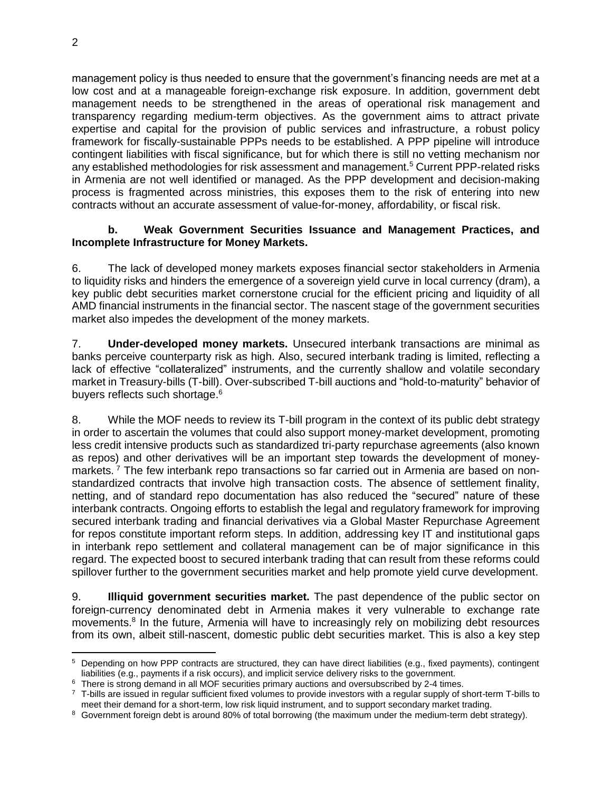management policy is thus needed to ensure that the government's financing needs are met at a low cost and at a manageable foreign-exchange risk exposure. In addition, government debt management needs to be strengthened in the areas of operational risk management and transparency regarding medium-term objectives. As the government aims to attract private expertise and capital for the provision of public services and infrastructure, a robust policy framework for fiscally-sustainable PPPs needs to be established. A PPP pipeline will introduce contingent liabilities with fiscal significance, but for which there is still no vetting mechanism nor any established methodologies for risk assessment and management. <sup>5</sup> Current PPP-related risks in Armenia are not well identified or managed. As the PPP development and decision-making process is fragmented across ministries, this exposes them to the risk of entering into new contracts without an accurate assessment of value-for-money, affordability, or fiscal risk.

## **b. Weak Government Securities Issuance and Management Practices, and Incomplete Infrastructure for Money Markets.**

6. The lack of developed money markets exposes financial sector stakeholders in Armenia to liquidity risks and hinders the emergence of a sovereign yield curve in local currency (dram), a key public debt securities market cornerstone crucial for the efficient pricing and liquidity of all AMD financial instruments in the financial sector. The nascent stage of the government securities market also impedes the development of the money markets.

7. **Under-developed money markets.** Unsecured interbank transactions are minimal as banks perceive counterparty risk as high. Also, secured interbank trading is limited, reflecting a lack of effective "collateralized" instruments, and the currently shallow and volatile secondary market in Treasury-bills (T-bill). Over-subscribed T-bill auctions and "hold-to-maturity" behavior of buyers reflects such shortage.<sup>6</sup>

8. While the MOF needs to review its T-bill program in the context of its public debt strategy in order to ascertain the volumes that could also support money-market development, promoting less credit intensive products such as standardized tri-party repurchase agreements (also known as repos) and other derivatives will be an important step towards the development of moneymarkets.<sup>7</sup> The few interbank repo transactions so far carried out in Armenia are based on nonstandardized contracts that involve high transaction costs. The absence of settlement finality, netting, and of standard repo documentation has also reduced the "secured" nature of these interbank contracts. Ongoing efforts to establish the legal and regulatory framework for improving secured interbank trading and financial derivatives via a Global Master Repurchase Agreement for repos constitute important reform steps. In addition, addressing key IT and institutional gaps in interbank repo settlement and collateral management can be of major significance in this regard. The expected boost to secured interbank trading that can result from these reforms could spillover further to the government securities market and help promote yield curve development.

9. **Illiquid government securities market.** The past dependence of the public sector on foreign-currency denominated debt in Armenia makes it very vulnerable to exchange rate movements.<sup>8</sup> In the future, Armenia will have to increasingly rely on mobilizing debt resources from its own, albeit still-nascent, domestic public debt securities market. This is also a key step

 $\overline{\phantom{a}}$ <sup>5</sup> Depending on how PPP contracts are structured, they can have direct liabilities (e.g., fixed payments), contingent liabilities (e.g., payments if a risk occurs), and implicit service delivery risks to the government.

<sup>&</sup>lt;sup>6</sup> There is strong demand in all MOF securities primary auctions and oversubscribed by 2-4 times.

 $7$  T-bills are issued in regular sufficient fixed volumes to provide investors with a regular supply of short-term T-bills to meet their demand for a short-term, low risk liquid instrument, and to support secondary market trading.

<sup>8</sup> Government foreign debt is around 80% of total borrowing (the maximum under the medium-term debt strategy).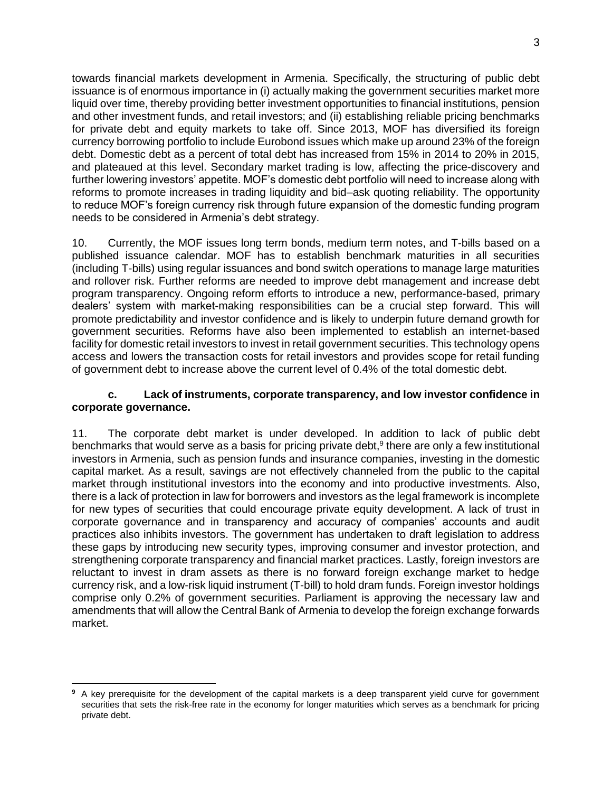towards financial markets development in Armenia. Specifically, the structuring of public debt issuance is of enormous importance in (i) actually making the government securities market more liquid over time, thereby providing better investment opportunities to financial institutions, pension and other investment funds, and retail investors; and (ii) establishing reliable pricing benchmarks for private debt and equity markets to take off. Since 2013, MOF has diversified its foreign currency borrowing portfolio to include Eurobond issues which make up around 23% of the foreign debt. Domestic debt as a percent of total debt has increased from 15% in 2014 to 20% in 2015, and plateaued at this level. Secondary market trading is low, affecting the price-discovery and further lowering investors' appetite. MOF's domestic debt portfolio will need to increase along with reforms to promote increases in trading liquidity and bid–ask quoting reliability. The opportunity to reduce MOF's foreign currency risk through future expansion of the domestic funding program needs to be considered in Armenia's debt strategy.

10. Currently, the MOF issues long term bonds, medium term notes, and T-bills based on a published issuance calendar. MOF has to establish benchmark maturities in all securities (including T-bills) using regular issuances and bond switch operations to manage large maturities and rollover risk. Further reforms are needed to improve debt management and increase debt program transparency. Ongoing reform efforts to introduce a new, performance-based, primary dealers' system with market-making responsibilities can be a crucial step forward. This will promote predictability and investor confidence and is likely to underpin future demand growth for government securities. Reforms have also been implemented to establish an internet-based facility for domestic retail investors to invest in retail government securities. This technology opens access and lowers the transaction costs for retail investors and provides scope for retail funding of government debt to increase above the current level of 0.4% of the total domestic debt.

### **c. Lack of instruments, corporate transparency, and low investor confidence in corporate governance.**

11. The corporate debt market is under developed. In addition to lack of public debt benchmarks that would serve as a basis for pricing private debt,<sup>9</sup> there are only a few institutional investors in Armenia, such as pension funds and insurance companies, investing in the domestic capital market. As a result, savings are not effectively channeled from the public to the capital market through institutional investors into the economy and into productive investments. Also, there is a lack of protection in law for borrowers and investors as the legal framework is incomplete for new types of securities that could encourage private equity development. A lack of trust in corporate governance and in transparency and accuracy of companies' accounts and audit practices also inhibits investors. The government has undertaken to draft legislation to address these gaps by introducing new security types, improving consumer and investor protection, and strengthening corporate transparency and financial market practices. Lastly, foreign investors are reluctant to invest in dram assets as there is no forward foreign exchange market to hedge currency risk, and a low-risk liquid instrument (T-bill) to hold dram funds. Foreign investor holdings comprise only 0.2% of government securities. Parliament is approving the necessary law and amendments that will allow the Central Bank of Armenia to develop the foreign exchange forwards market.

l

**<sup>9</sup>** A key prerequisite for the development of the capital markets is a deep transparent yield curve for government securities that sets the risk-free rate in the economy for longer maturities which serves as a benchmark for pricing private debt.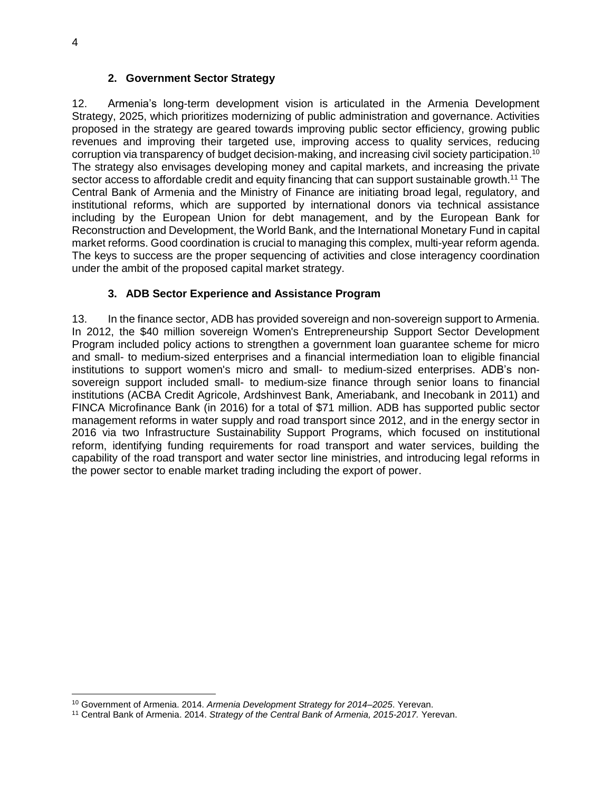## **2. Government Sector Strategy**

12. Armenia's long-term development vision is articulated in the Armenia Development Strategy, 2025, which prioritizes modernizing of public administration and governance. Activities proposed in the strategy are geared towards improving public sector efficiency, growing public revenues and improving their targeted use, improving access to quality services, reducing corruption via transparency of budget decision-making, and increasing civil society participation.<sup>10</sup> The strategy also envisages developing money and capital markets, and increasing the private sector access to affordable credit and equity financing that can support sustainable growth.<sup>11</sup> The Central Bank of Armenia and the Ministry of Finance are initiating broad legal, regulatory, and institutional reforms, which are supported by international donors via technical assistance including by the European Union for debt management, and by the European Bank for Reconstruction and Development, the World Bank, and the International Monetary Fund in capital market reforms. Good coordination is crucial to managing this complex, multi-year reform agenda. The keys to success are the proper sequencing of activities and close interagency coordination under the ambit of the proposed capital market strategy.

## **3. ADB Sector Experience and Assistance Program**

13. In the finance sector, ADB has provided sovereign and non-sovereign support to Armenia. In 2012, the \$40 million sovereign Women's Entrepreneurship Support Sector Development Program included policy actions to strengthen a government loan guarantee scheme for micro and small- to medium-sized enterprises and a financial intermediation loan to eligible financial institutions to support women's micro and small- to medium-sized enterprises. ADB's nonsovereign support included small- to medium-size finance through senior loans to financial institutions (ACBA Credit Agricole, Ardshinvest Bank, Ameriabank, and Inecobank in 2011) and FINCA Microfinance Bank (in 2016) for a total of \$71 million. ADB has supported public sector management reforms in water supply and road transport since 2012, and in the energy sector in 2016 via two Infrastructure Sustainability Support Programs, which focused on institutional reform, identifying funding requirements for road transport and water services, building the capability of the road transport and water sector line ministries, and introducing legal reforms in the power sector to enable market trading including the export of power.

 $\overline{a}$ 

<sup>10</sup> Government of Armenia. 2014. *Armenia Development Strategy for 2014–2025*. Yerevan.

<sup>11</sup> Central Bank of Armenia. 2014. *Strategy of the Central Bank of Armenia, 2015-2017.* Yerevan.